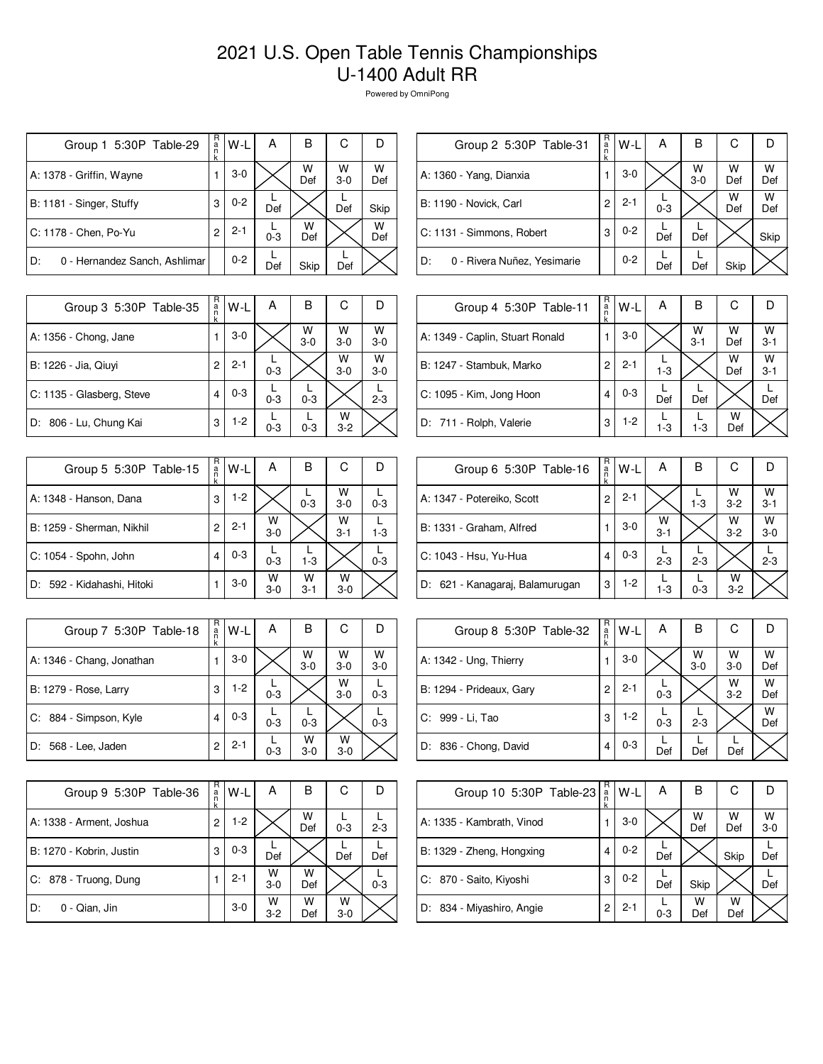## 2021 U.S. Open Table Tennis Championships U-1400 Adult RR

Powered by OmniPong

| Group 1 5:30P Table-29              | R<br>a<br>n<br>k | W-L     | Α       | в        | С          |          |
|-------------------------------------|------------------|---------|---------|----------|------------|----------|
| A: 1378 - Griffin, Wayne            |                  | $3-0$   |         | W<br>Def | W<br>$3-0$ | W<br>Def |
| B: 1181 - Singer, Stuffy            | 3                | $0 - 2$ | Def     |          | Def        | Skip     |
| C: 1178 - Chen, Po-Yu               | 2                | $2 - 1$ | $0 - 3$ | w<br>Def |            | W<br>Def |
| D:<br>0 - Hernandez Sanch, Ashlimar |                  | $0 - 2$ | Def     | Skip     | Def        |          |

| Group 2 5:30P Table-31            | R<br>a<br>n<br>k | W-L     | Α       | в          | С        |          |
|-----------------------------------|------------------|---------|---------|------------|----------|----------|
| A: 1360 - Yang, Dianxia           |                  | $3-0$   |         | W<br>$3-0$ | W<br>Def | W<br>Def |
| B: 1190 - Novick, Carl            | 2                | $2 - 1$ | $0 - 3$ |            | W<br>Def | w<br>Def |
| C: 1131 - Simmons, Robert         | 3                | $0 - 2$ | Def     | Def        |          | Skip     |
| 0 - Rivera Nuñez, Yesimarie<br>D: |                  | $0 - 2$ | Def     | Def        | Skip     |          |

| Group 3 5:30P Table-35    | R<br>a<br>k | W-L     | А       | в            | С            |              |
|---------------------------|-------------|---------|---------|--------------|--------------|--------------|
| A: 1356 - Chong, Jane     |             | $3-0$   |         | W<br>$3 - 0$ | W<br>$3-0$   | W<br>$3 - 0$ |
| B: 1226 - Jia, Qiuyi      | 2           | $2 - 1$ | $0 - 3$ |              | W<br>$3-0$   | W<br>$3-0$   |
| C: 1135 - Glasberg, Steve | 4           | $0 - 3$ | $0 - 3$ | $0 - 3$      |              | $2 - 3$      |
| D: 806 - Lu, Chung Kai    | 3           | $1-2$   | $0 - 3$ | $0 - 3$      | w<br>$3 - 2$ |              |

| Group 5 5:30P Table-15     | R<br>a<br>n<br>k | W-L     | А          | в            | С            |         |
|----------------------------|------------------|---------|------------|--------------|--------------|---------|
| A: 1348 - Hanson, Dana     | 3                | $1-2$   |            | $0 - 3$      | W<br>$3-0$   | $0 - 3$ |
| B: 1259 - Sherman, Nikhil  | 2                | $2 - 1$ | W<br>$3-0$ |              | W<br>$3 - 1$ | $1 - 3$ |
| C: 1054 - Spohn, John      | 4                | $0 - 3$ | $0 - 3$    | $1 - 3$      |              | $0 - 3$ |
| D: 592 - Kidahashi, Hitoki |                  | $3-0$   | w<br>$3-0$ | w<br>$3 - 1$ | w<br>$3-0$   |         |

| Group 7 5:30P Table-18       | R<br>a<br>n<br>k | W-L     | А       | В          | С            |              |
|------------------------------|------------------|---------|---------|------------|--------------|--------------|
| A: 1346 - Chang, Jonathan    |                  | $3-0$   |         | W<br>$3-0$ | W<br>$3 - 0$ | W<br>$3 - 0$ |
| <b>B: 1279 - Rose, Larry</b> | 3                | $1-2$   | $0 - 3$ |            | W<br>$3 - 0$ | $0 - 3$      |
| C: 884 - Simpson, Kyle       | 4                | $0 - 3$ | $0 - 3$ | $0 - 3$    |              | $0 - 3$      |
| 568 - Lee, Jaden<br>D:       | 2                | $2 - 1$ | $0 - 3$ | w<br>$3-0$ | w<br>$3-0$   |              |

| Group 9 5:30P Table-36   | R<br>a<br>n<br>k | W-L     | А            | в        | С          |         |
|--------------------------|------------------|---------|--------------|----------|------------|---------|
| A: 1338 - Arment, Joshua | 2                | $1 - 2$ |              | w<br>Def | $0 - 3$    | $2 - 3$ |
| B: 1270 - Kobrin, Justin | 3                | $0 - 3$ | Def          |          | Def        | Def     |
| C: 878 - Truong, Dung    |                  | $2 - 1$ | W<br>$3 - 0$ | w<br>Def |            | $0 - 3$ |
| 0 - Qian, Jin<br>D:      |                  | $3-0$   | W<br>$3 - 2$ | w<br>Def | W<br>$3-0$ |         |

| Group 4 5:30P Table-11          | R<br>a<br>n<br>k | $W-L$   | А       | B            | C        |              |
|---------------------------------|------------------|---------|---------|--------------|----------|--------------|
| A: 1349 - Caplin, Stuart Ronald |                  | $3-0$   |         | W<br>$3 - 1$ | W<br>Def | w<br>$3 - 1$ |
| B: 1247 - Stambuk, Marko        | 2                | $2 - 1$ | $1 - 3$ |              | W<br>Def | W<br>$3 - 1$ |
| C: 1095 - Kim, Jong Hoon        | 4                | $0 - 3$ | Def     | Def          |          | Def          |
| D: 711 - Rolph, Valerie         | 3                | $1-2$   | $1 - 3$ | $1 - 3$      | w<br>Def |              |

| Group 6 5:30P Table-16          | R<br>a | W-L     | A            | В       | С            | D            |
|---------------------------------|--------|---------|--------------|---------|--------------|--------------|
| A: 1347 - Potereiko, Scott      | 2      | $2 - 1$ |              | $1 - 3$ | W<br>$3 - 2$ | W<br>$3 - 1$ |
| B: 1331 - Graham, Alfred        |        | $3-0$   | W<br>$3 - 1$ |         | W<br>$3 - 2$ | W<br>$3-0$   |
| C: 1043 - Hsu, Yu-Hua           | 4      | $0 - 3$ | $2 - 3$      | $2 - 3$ |              | $2 - 3$      |
| D: 621 - Kanagaraj, Balamurugan | 3      | 1-2     | $1 - 3$      | $0 - 3$ | W<br>$3 - 2$ |              |

| Group 8 5:30P Table-32   | $R_{\rm a}$<br>k | W-L     | А       | B          | С            |          |
|--------------------------|------------------|---------|---------|------------|--------------|----------|
| A: 1342 - Ung, Thierry   |                  | $3-0$   |         | W<br>$3-0$ | W<br>$3 - 0$ | W<br>Def |
| B: 1294 - Prideaux, Gary | $\overline{c}$   | $2 - 1$ | $0 - 3$ |            | W<br>$3 - 2$ | W<br>Def |
| C: 999 - Li, Tao         | 3                | $1-2$   | $0 - 3$ | $2 - 3$    |              | W<br>Def |
| D: 836 - Chong, David    | 4                | $0 - 3$ | Def     | Def        | Def          |          |

| Group 10 5:30P Table-23   | R<br>$\frac{a}{n}$ | $W-L$   | А       | B        | С        |              |
|---------------------------|--------------------|---------|---------|----------|----------|--------------|
| A: 1335 - Kambrath, Vinod |                    | $3-0$   |         | W<br>Def | W<br>Def | W<br>$3 - 0$ |
| B: 1329 - Zheng, Hongxing | 4                  | $0 - 2$ | Def     |          | Skip     | Def          |
| C: 870 - Saito, Kiyoshi   | 3                  | $0 - 2$ | Def     | Skip     |          | Def          |
| D: 834 - Miyashiro, Angie | 2                  | $2 - 1$ | $0 - 3$ | W<br>Def | W<br>Def |              |